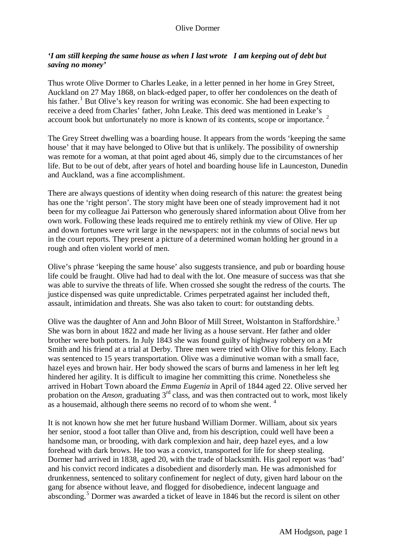## *'I am still keeping the same house as when I last wrote I am keeping out of debt but saving no money'*

Thus wrote Olive Dormer to Charles Leake, in a letter penned in her home in Grey Street, Auckland on 27 May 1868, on black-edged paper, to offer her condolences on the death of his father.<sup>[1](#page-4-0)</sup> But Olive's key reason for writing was economic. She had been expecting to receive a deed from Charles' father, John Leake. This deed was mentioned in Leake's account book but unfortunately no more is known of its contents, scope or importance. [2](#page-4-1)

The Grey Street dwelling was a boarding house. It appears from the words 'keeping the same house' that it may have belonged to Olive but that is unlikely. The possibility of ownership was remote for a woman, at that point aged about 46, simply due to the circumstances of her life. But to be out of debt, after years of hotel and boarding house life in Launceston, Dunedin and Auckland, was a fine accomplishment.

There are always questions of identity when doing research of this nature: the greatest being has one the 'right person'. The story might have been one of steady improvement had it not been for my colleague Jai Patterson who generously shared information about Olive from her own work. Following these leads required me to entirely rethink my view of Olive. Her up and down fortunes were writ large in the newspapers: not in the columns of social news but in the court reports. They present a picture of a determined woman holding her ground in a rough and often violent world of men.

Olive's phrase 'keeping the same house' also suggests transience, and pub or boarding house life could be fraught. Olive had had to deal with the lot. One measure of success was that she was able to survive the threats of life. When crossed she sought the redress of the courts. The justice dispensed was quite unpredictable. Crimes perpetrated against her included theft, assault, intimidation and threats. She was also taken to court: for outstanding debts.

Olive was the daughter of Ann and John Bloor of Mill Street, Wolstanton in Staffordshire.<sup>[3](#page-4-2)</sup> She was born in about 1822 and made her living as a house servant. Her father and older brother were both potters. In July 1843 she was found guilty of highway robbery on a Mr Smith and his friend at a trial at Derby. Three men were tried with Olive for this felony. Each was sentenced to 15 years transportation. Olive was a diminutive woman with a small face, hazel eyes and brown hair. Her body showed the scars of burns and lameness in her left leg hindered her agility. It is difficult to imagine her committing this crime. Nonetheless she arrived in Hobart Town aboard the *Emma Eugenia* in April of 1844 aged 22. Olive served her probation on the *Anson*, graduating 3<sup>rd</sup> class, and was then contracted out to work, most likely as a housemaid, although there seems no record of to whom she went. <sup>[4](#page-4-3)</sup>

It is not known how she met her future husband William Dormer. William, about six years her senior, stood a foot taller than Olive and, from his description, could well have been a handsome man, or brooding, with dark complexion and hair, deep hazel eyes, and a low forehead with dark brows. He too was a convict, transported for life for sheep stealing. Dormer had arrived in 1838, aged 20, with the trade of blacksmith. His gaol report was 'bad' and his convict record indicates a disobedient and disorderly man. He was admonished for drunkenness, sentenced to solitary confinement for neglect of duty, given hard labour on the gang for absence without leave, and flogged for disobedience, indecent language and absconding.<sup>[5](#page-4-4)</sup> Dormer was awarded a ticket of leave in 1846 but the record is silent on other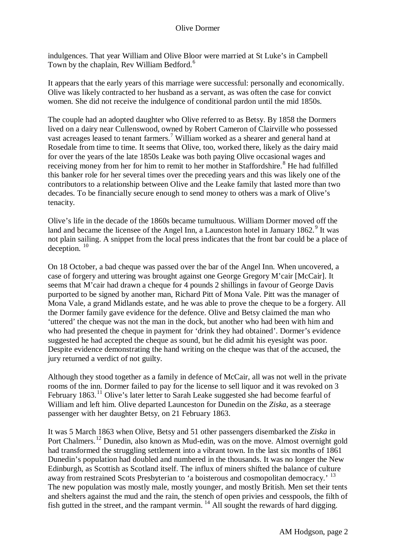indulgences. That year William and Olive Bloor were married at St Luke's in Campbell Town by the chaplain, Rev William Bedford.<sup>[6](#page-4-5)</sup>

It appears that the early years of this marriage were successful: personally and economically. Olive was likely contracted to her husband as a servant, as was often the case for convict women. She did not receive the indulgence of conditional pardon until the mid 1850s.

The couple had an adopted daughter who Olive referred to as Betsy. By 1858 the Dormers lived on a dairy near Cullenswood, owned by Robert Cameron of Clairville who possessed vast acreages leased to tenant farmers.[7](#page-4-5) William worked as a shearer and general hand at Rosedale from time to time. It seems that Olive, too, worked there, likely as the dairy maid for over the years of the late 1850s Leake was both paying Olive occasional wages and receiving money from her for him to remit to her mother in Staffordshire.<sup>[8](#page-4-5)</sup> He had fulfilled this banker role for her several times over the preceding years and this was likely one of the contributors to a relationship between Olive and the Leake family that lasted more than two decades. To be financially secure enough to send money to others was a mark of Olive's tenacity.

Olive's life in the decade of the 1860s became tumultuous. William Dormer moved off the land and became the licensee of the Angel Inn, a Launceston hotel in January 1862.<sup>[9](#page-4-5)</sup> It was not plain sailing. A snippet from the local press indicates that the front bar could be a place of deception.<sup>[10](#page-4-5)</sup>

On 18 October, a bad cheque was passed over the bar of the Angel Inn. When uncovered, a case of forgery and uttering was brought against one George Gregory M'cair [McCair]. It seems that M'cair had drawn a cheque for 4 pounds 2 shillings in favour of George Davis purported to be signed by another man, Richard Pitt of Mona Vale. Pitt was the manager of Mona Vale, a grand Midlands estate, and he was able to prove the cheque to be a forgery. All the Dormer family gave evidence for the defence. Olive and Betsy claimed the man who 'uttered' the cheque was not the man in the dock, but another who had been with him and who had presented the cheque in payment for 'drink they had obtained'. Dormer's evidence suggested he had accepted the cheque as sound, but he did admit his eyesight was poor. Despite evidence demonstrating the hand writing on the cheque was that of the accused, the jury returned a verdict of not guilty.

Although they stood together as a family in defence of McCair, all was not well in the private rooms of the inn. Dormer failed to pay for the license to sell liquor and it was revoked on 3 February 1863.<sup>[11](#page-4-5)</sup> Olive's later letter to Sarah Leake suggested she had become fearful of William and left him. Olive departed Launceston for Dunedin on the *Ziska*, as a steerage passenger with her daughter Betsy, on 21 February 1863.

It was 5 March 1863 when Olive, Betsy and 51 other passengers disembarked the *Ziska* in Port Chalmers.<sup>[12](#page-4-5)</sup> Dunedin, also known as Mud-edin, was on the move. Almost overnight gold had transformed the struggling settlement into a vibrant town. In the last six months of 1861 Dunedin's population had doubled and numbered in the thousands. It was no longer the New Edinburgh, as Scottish as Scotland itself. The influx of miners shifted the balance of culture away from restrained Scots Presbyterian to 'a boisterous and cosmopolitan democracy.' <sup>[13](#page-4-5)</sup> The new population was mostly male, mostly younger, and mostly British. Men set their tents and shelters against the mud and the rain, the stench of open privies and cesspools, the filth of fish gutted in the street, and the rampant vermin.  $^{14}$  $^{14}$  $^{14}$  All sought the rewards of hard digging.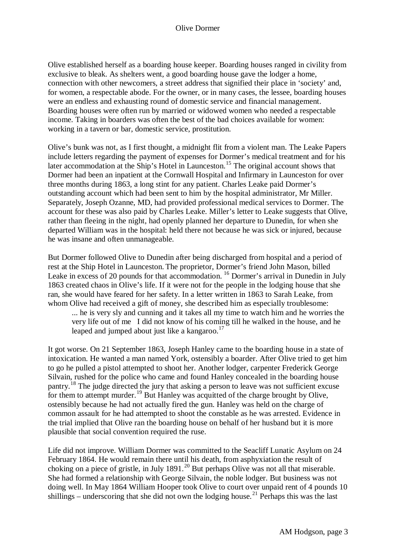Olive established herself as a boarding house keeper. Boarding houses ranged in civility from exclusive to bleak. As shelters went, a good boarding house gave the lodger a home, connection with other newcomers, a street address that signified their place in 'society' and, for women, a respectable abode. For the owner, or in many cases, the lessee, boarding houses were an endless and exhausting round of domestic service and financial management. Boarding houses were often run by married or widowed women who needed a respectable income. Taking in boarders was often the best of the bad choices available for women: working in a tavern or bar, domestic service, prostitution.

Olive's bunk was not, as I first thought, a midnight flit from a violent man. The Leake Papers include letters regarding the payment of expenses for Dormer's medical treatment and for his later accommodation at the Ship's Hotel in Launceston.<sup>[15](#page-4-5)</sup> The original account shows that Dormer had been an inpatient at the Cornwall Hospital and Infirmary in Launceston for over three months during 1863, a long stint for any patient. Charles Leake paid Dormer's outstanding account which had been sent to him by the hospital administrator, Mr Miller. Separately, Joseph Ozanne, MD, had provided professional medical services to Dormer. The account for these was also paid by Charles Leake. Miller's letter to Leake suggests that Olive, rather than fleeing in the night, had openly planned her departure to Dunedin, for when she departed William was in the hospital: held there not because he was sick or injured, because he was insane and often unmanageable.

But Dormer followed Olive to Dunedin after being discharged from hospital and a period of rest at the Ship Hotel in Launceston. The proprietor, Dormer's friend John Mason, billed Leake in excess of 20 pounds for that accommodation. <sup>[16](#page-4-5)</sup> Dormer's arrival in Dunedin in July 1863 created chaos in Olive's life. If it were not for the people in the lodging house that she ran, she would have feared for her safety. In a letter written in 1863 to Sarah Leake, from whom Olive had received a gift of money, she described him as especially troublesome:

... he is very sly and cunning and it takes all my time to watch him and he worries the very life out of me I did not know of his coming till he walked in the house, and he leaped and jumped about just like a kangaroo. $17$ 

It got worse. On 21 September 1863, Joseph Hanley came to the boarding house in a state of intoxication. He wanted a man named York, ostensibly a boarder. After Olive tried to get him to go he pulled a pistol attempted to shoot her. Another lodger, carpenter Frederick George Silvain, rushed for the police who came and found Hanley concealed in the boarding house pantry.<sup>[18](#page-4-5)</sup> The judge directed the jury that asking a person to leave was not sufficient excuse for them to attempt murder.<sup>[19](#page-4-5)</sup> But Hanley was acquitted of the charge brought by Olive, ostensibly because he had not actually fired the gun. Hanley was held on the charge of common assault for he had attempted to shoot the constable as he was arrested. Evidence in the trial implied that Olive ran the boarding house on behalf of her husband but it is more plausible that social convention required the ruse.

Life did not improve. William Dormer was committed to the Seacliff Lunatic Asylum on 24 February 1864. He would remain there until his death, from asphyxiation the result of choking on a piece of gristle, in July 1891.<sup>[20](#page-4-5)</sup> But perhaps Olive was not all that miserable. She had formed a relationship with George Silvain, the noble lodger. But business was not doing well. In May 1864 William Hooper took Olive to court over unpaid rent of 4 pounds 10 shillings – underscoring that she did not own the lodging house.<sup>[21](#page-4-5)</sup> Perhaps this was the last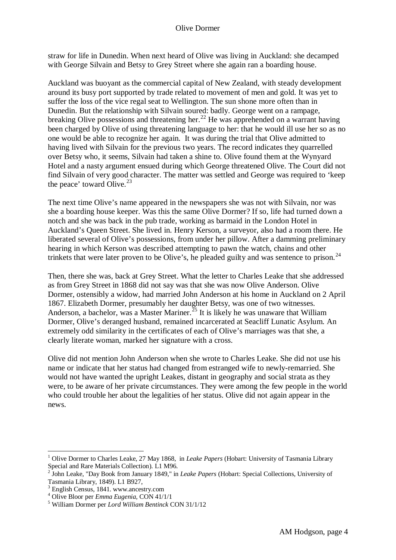straw for life in Dunedin. When next heard of Olive was living in Auckland: she decamped with George Silvain and Betsy to Grey Street where she again ran a boarding house.

Auckland was buoyant as the commercial capital of New Zealand, with steady development around its busy port supported by trade related to movement of men and gold. It was yet to suffer the loss of the vice regal seat to Wellington. The sun shone more often than in Dunedin. But the relationship with Silvain soured: badly. George went on a rampage, breaking Olive possessions and threatening her.<sup>[22](#page-4-5)</sup> He was apprehended on a warrant having been charged by Olive of using threatening language to her: that he would ill use her so as no one would be able to recognize her again. It was during the trial that Olive admitted to having lived with Silvain for the previous two years. The record indicates they quarrelled over Betsy who, it seems, Silvain had taken a shine to. Olive found them at the Wynyard Hotel and a nasty argument ensued during which George threatened Olive. The Court did not find Silvain of very good character. The matter was settled and George was required to 'keep the peace' toward Olive. $^{23}$  $^{23}$  $^{23}$ 

The next time Olive's name appeared in the newspapers she was not with Silvain, nor was she a boarding house keeper. Was this the same Olive Dormer? If so, life had turned down a notch and she was back in the pub trade, working as barmaid in the London Hotel in Auckland's Queen Street. She lived in. Henry Kerson, a surveyor, also had a room there. He liberated several of Olive's possessions, from under her pillow. After a damming preliminary hearing in which Kerson was described attempting to pawn the watch, chains and other trinkets that were later proven to be Olive's, he pleaded guilty and was sentence to prison.<sup>[24](#page-4-5)</sup>

Then, there she was, back at Grey Street. What the letter to Charles Leake that she addressed as from Grey Street in 1868 did not say was that she was now Olive Anderson. Olive Dormer, ostensibly a widow, had married John Anderson at his home in Auckland on 2 April 1867. Elizabeth Dormer, presumably her daughter Betsy, was one of two witnesses. Anderson, a bachelor, was a Master Mariner.<sup>[25](#page-4-5)</sup> It is likely he was unaware that William Dormer, Olive's deranged husband, remained incarcerated at Seacliff Lunatic Asylum. An extremely odd similarity in the certificates of each of Olive's marriages was that she, a clearly literate woman, marked her signature with a cross.

Olive did not mention John Anderson when she wrote to Charles Leake. She did not use his name or indicate that her status had changed from estranged wife to newly-remarried. She would not have wanted the upright Leakes, distant in geography and social strata as they were, to be aware of her private circumstances. They were among the few people in the world who could trouble her about the legalities of her status. Olive did not again appear in the news.

 <sup>1</sup> Olive Dormer to Charles Leake, 27 May 1868, in *Leake Papers* (Hobart: University of Tasmania Library Special and Rare Materials Collection). L1 M96.<br><sup>2</sup> John Leake, "Day Book from January 1849," in *Leake Papers* (Hobart: Special Collections, University of

Tasmania Library, 1849). L1 B927, <sup>3</sup> English Census, 1841. www.ancestry.com <sup>4</sup> Olive Bloor per *Emma Eugenia,* CON 41/1/1 <sup>5</sup> William Dormer per *Lord William Bentinck* CON 31/1/12